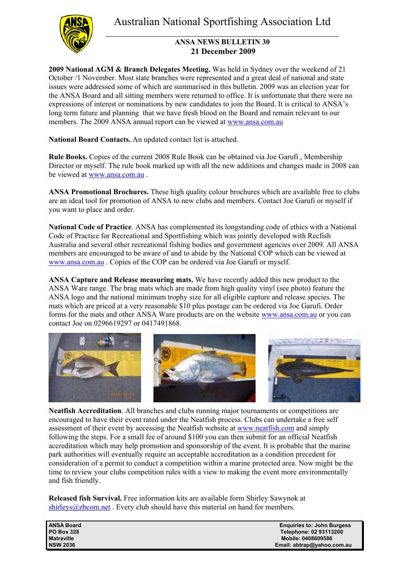Australian National Sportfishing Association Ltd



## **ANSA NEWS BULLETIN 30 21 December 2009**

**2009 National AGM & Branch Delegates Meeting.** Was held in Sydney over the weekend of 21 October /1 November. Most state branches were represented and a great deal of national and state issues were addressed some of which are summarised in this bulletin. 2009 was an election year for the ANSA Board and all sitting members were returned to office. It is unfortunate that there were no expressions of interest or nominations by new candidates to join the Board. It is critical to ANSA's long term future and planning that we have fresh blood on the Board and remain relevant to our members. The 2009 ANSA annual report can be viewed at www.ansa.com.au

**National Board Contacts.** An updated contact list is attached.

**Rule Books.** Copies of the current 2008 Rule Book can be obtained via Joe Garufi , Membership Director or myself. The rule book marked up with all the new additions and changes made in 2008 can be viewed at www.ansa.com.au .

**ANSA Promotional Brochures.** These high quality colour brochures which are available free to clubs are an ideal tool for promotion of ANSA to new clubs and members. Contact Joe Garufi or myself if you want to place and order.

**National Code of Practice**. ANSA has complemented its longstanding code of ethics with a National Code of Practice for Recreational and Sportfishing which was jointly developed with Recfish Australia and several other recreational fishing bodies and government agencies over 2009. All ANSA members are encouraged to be aware of and to abide by the National COP which can be viewed at www.ansa.com.au . Copies of the COP can be ordered via Joe Garufi or myself.

**ANSA Capture and Release measuring mats.** We have recently added this new product to the ANSA Ware range. The brag mats which are made from high quality vinyl (see photo) feature the ANSA logo and the national minimum trophy size for all eligible capture and release species. The mats which are priced at a very reasonable \$10 plus postage can be ordered via Joe Garufi. Order forms for the mats and other ANSA Ware products are on the website www.ansa.com.au or you can contact Joe on 0296619297 or 0417491868.



**Neatfish Accreditation**. All branches and clubs running major tournaments or competitions are encouraged to have their event rated under the Neatfish process. Clubs can undertake a free self assessment of their event by accessing the Neatfish website at www.neatfish.com and simply following the steps. For a small fee of around \$100 you can then submit for an official Neatfish accreditation which may help promotion and sponsorship of the event. It is probable that the marine park authorities will eventually require an acceptable accreditation as a condition precedent for consideration of a permit to conduct a competition within a marine protected area. Now might be the time to review your clubs competition rules with a view to making the event more environmentally and fish friendly.

**Released fish Survival.** Free information kits are available form Shirley Sawynok at shirleys@zbcom.net. Every club should have this material on hand for members.

| <b>ANSA Board</b> | <b>Enguiries to: John Burgess</b> |
|-------------------|-----------------------------------|
| <b>PO Box 328</b> | Telephone: 02 93113200            |
| Matraville        | Mobile: 0408609586                |
| <b>NSW 2036</b>   | Email: abtrap@yahoo.com.au        |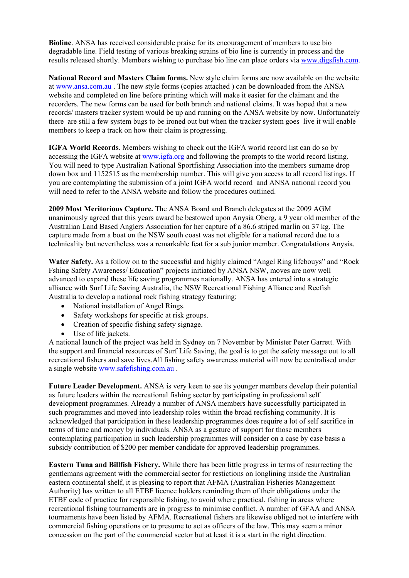**Bioline**. ANSA has received considerable praise for its encouragement of members to use bio degradable line. Field testing of various breaking strains of bio line is currently in process and the results released shortly. Members wishing to purchase bio line can place orders via www.digsfish.com.

**National Record and Masters Claim forms.** New style claim forms are now available on the website at www.ansa.com.au . The new style forms (copies attached ) can be downloaded from the ANSA website and completed on line before printing which will make it easier for the claimant and the recorders. The new forms can be used for both branch and national claims. It was hoped that a new records/ masters tracker system would be up and running on the ANSA website by now. Unfortunately there are still a few system bugs to be ironed out but when the tracker system goes live it will enable members to keep a track on how their claim is progressing.

**IGFA World Records**. Members wishing to check out the IGFA world record list can do so by accessing the IGFA website at www.igfa.org and following the prompts to the world record listing. You will need to type Australian National Sportfishing Association into the members surname drop down box and 1152515 as the membership number. This will give you access to all record listings. If you are contemplating the submission of a joint IGFA world record and ANSA national record you will need to refer to the ANSA website and follow the procedures outlined.

**2009 Most Meritorious Capture.** The ANSA Board and Branch delegates at the 2009 AGM unanimously agreed that this years award be bestowed upon Anysia Oberg, a 9 year old member of the Australian Land Based Anglers Association for her capture of a 86.6 striped marlin on 37 kg. The capture made from a boat on the NSW south coast was not eligible for a national record due to a technicality but nevertheless was a remarkable feat for a sub junior member. Congratulations Anysia.

**Water Safety.** As a follow on to the successful and highly claimed "Angel Ring lifebouys" and "Rock Fshing Safety Awareness/ Education" projects initiated by ANSA NSW, moves are now well advanced to expand these life saving programmes nationally. ANSA has entered into a strategic alliance with Surf Life Saving Australia, the NSW Recreational Fishing Alliance and Recfish Australia to develop a national rock fishing strategy featuring;

- National installation of Angel Rings.
- Safety workshops for specific at risk groups.
- Creation of specific fishing safety signage.
- Use of life jackets.

A national launch of the project was held in Sydney on 7 November by Minister Peter Garrett. With the support and financial resources of Surf Life Saving, the goal is to get the safety message out to all recreational fishers and save lives.All fishing safety awareness material will now be centralised under a single website www.safefishing.com.au .

**Future Leader Development.** ANSA is very keen to see its younger members develop their potential as future leaders within the recreational fishing sector by participating in professional self development programmes. Already a number of ANSA members have successfully participated in such programmes and moved into leadership roles within the broad recfishing community. It is acknowledged that participation in these leadership programmes does require a lot of self sacrifice in terms of time and money by individuals. ANSA as a gesture of support for those members contemplating participation in such leadership programmes will consider on a case by case basis a subsidy contribution of \$200 per member candidate for approved leadership programmes.

**Eastern Tuna and Billfish Fishery.** While there has been little progress in terms of resurrecting the gentlemans agreement with the commercial sector for restictions on longlining inside the Australian eastern continental shelf, it is pleasing to report that AFMA (Australian Fisheries Management Authority) has written to all ETBF licence holders reminding them of their obligations under the ETBF code of practice for responsible fishing, to avoid where practical, fishing in areas where recreational fishing tournaments are in progress to minimise conflict. A number of GFAA and ANSA tournaments have been listed by AFMA. Recreational fishers are likewise obliged not to interfere with commercial fishing operations or to presume to act as officers of the law. This may seem a minor concession on the part of the commercial sector but at least it is a start in the right direction.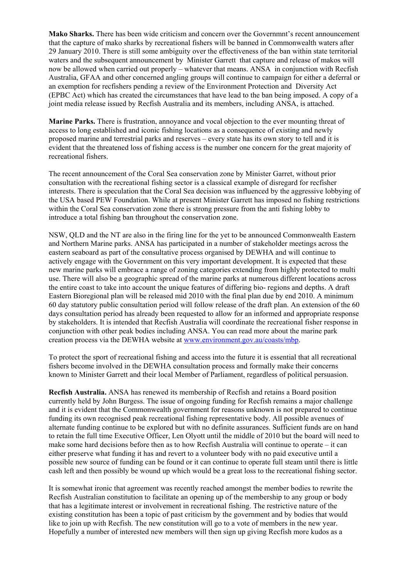**Mako Sharks.** There has been wide criticism and concern over the Governmnt's recent announcement that the capture of mako sharks by recreational fishers will be banned in Commonwealth waters after 29 January 2010. There is still some ambiguity over the effectiveness of the ban within state territorial waters and the subsequent announcement by Minister Garrett that capture and release of makos will now be allowed when carried out properly – whatever that means. ANSA in conjunction with Recfish Australia, GFAA and other concerned angling groups will continue to campaign for either a deferral or an exemption for recfishers pending a review of the Environment Protection and Diversity Act (EPBC Act) which has created the circumstances that have lead to the ban being imposed. A copy of a joint media release issued by Recfish Australia and its members, including ANSA, is attached.

**Marine Parks.** There is frustration, annoyance and vocal objection to the ever mounting threat of access to long established and iconic fishing locations as a consequence of existing and newly proposed marine and terrestrial parks and reserves – every state has its own story to tell and it is evident that the threatened loss of fishing access is the number one concern for the great majority of recreational fishers.

The recent announcement of the Coral Sea conservation zone by Minister Garret, without prior consultation with the recreational fishing sector is a classical example of disregard for recfisher interests. There is speculation that the Coral Sea decision was influenced by the aggressive lobbying of the USA based PEW Foundation. While at present Minister Garrett has imposed no fishing restrictions within the Coral Sea conservation zone there is strong pressure from the anti fishing lobby to introduce a total fishing ban throughout the conservation zone.

NSW, QLD and the NT are also in the firing line for the yet to be announced Commonwealth Eastern and Northern Marine parks. ANSA has participated in a number of stakeholder meetings across the eastern seaboard as part of the consultative process organised by DEWHA and will continue to actively engage with the Government on this very important development. It is expected that these new marine parks will embrace a range of zoning categories extending from highly protected to multi use. There will also be a geographic spread of the marine parks at numerous different locations across the entire coast to take into account the unique features of differing bio- regions and depths. A draft Eastern Bioregional plan will be released mid 2010 with the final plan due by end 2010. A minimum 60 day statutory public consultation period will follow release of the draft plan. An extension of the 60 days consultation period has already been requested to allow for an informed and appropriate response by stakeholders. It is intended that Recfish Australia will coordinate the recreational fisher response in conjunction with other peak bodies including ANSA. You can read more about the marine park creation process via the DEWHA website at www.environment.gov.au/coasts/mbp.

To protect the sport of recreational fishing and access into the future it is essential that all recreational fishers become involved in the DEWHA consultation process and formally make their concerns known to Minister Garrett and their local Member of Parliament, regardless of political persuasion.

**Recfish Australia.** ANSA has renewed its membership of Recfish and retains a Board position currently held by John Burgess. The issue of ongoing funding for Recfish remains a major challenge and it is evident that the Commonwealth government for reasons unknown is not prepared to continue funding its own recognised peak recreational fishing representative body. All possible avenues of alternate funding continue to be explored but with no definite assurances. Sufficient funds are on hand to retain the full time Executive Officer, Len Olyott until the middle of 2010 but the board will need to make some hard decisions before then as to how Recfish Australia will continue to operate – it can either preserve what funding it has and revert to a volunteer body with no paid executive until a possible new source of funding can be found or it can continue to operate full steam until there is little cash left and then possibly be wound up which would be a great loss to the recreational fishing sector.

It is somewhat ironic that agreement was recently reached amongst the member bodies to rewrite the Recfish Australian constitution to facilitate an opening up of the membership to any group or body that has a legitimate interest or involvement in recreational fishing. The restrictive nature of the existing constitution has been a topic of past criticism by the government and by bodies that would like to join up with Recfish. The new constitution will go to a vote of members in the new year. Hopefully a number of interested new members will then sign up giving Recfish more kudos as a